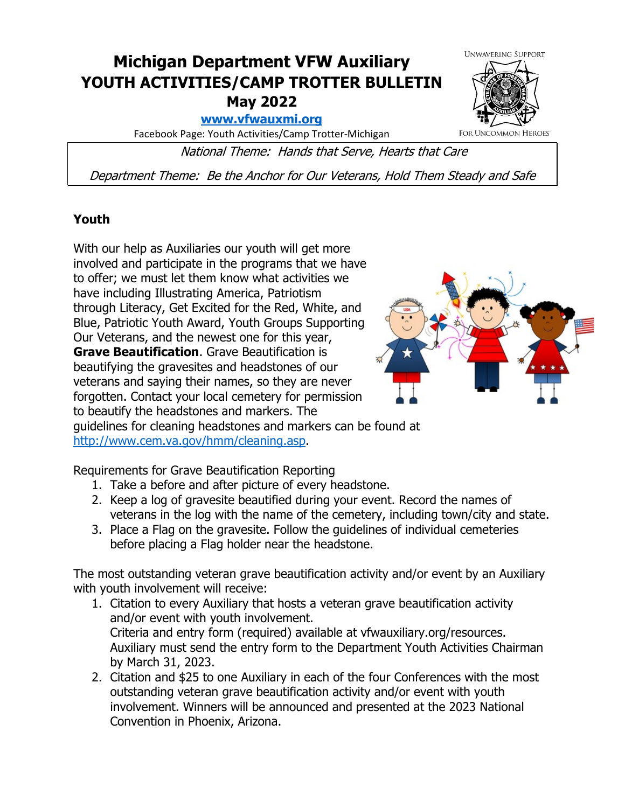## **Michigan Department VFW Auxiliary YOUTH ACTIVITIES/CAMP TROTTER BULLETIN May 2022**

**[www.vfwauxmi.org](http://www.vfwauxmi.org/)**

Facebook Page: Youth Activities/Camp Trotter-Michigan

National Theme: Hands that Serve, Hearts that Care

Department Theme: Be the Anchor for Our Veterans, Hold Them Steady and Safe

## **Youth**

With our help as Auxiliaries our youth will get more involved and participate in the programs that we have to offer; we must let them know what activities we have including Illustrating America, Patriotism through Literacy, Get Excited for the Red, White, and Blue, Patriotic Youth Award, Youth Groups Supporting Our Veterans, and the newest one for this year, **Grave Beautification**. Grave Beautification is beautifying the gravesites and headstones of our veterans and saying their names, so they are never forgotten. Contact your local cemetery for permission to beautify the headstones and markers. The guidelines for cleaning headstones and markers can be found at

[http://www.cem.va.gov/hmm/cleaning.asp.](http://www.cem.va.gov/hmm/cleaning.asp)

Requirements for Grave Beautification Reporting

- 1. Take a before and after picture of every headstone.
- 2. Keep a log of gravesite beautified during your event. Record the names of veterans in the log with the name of the cemetery, including town/city and state.
- 3. Place a Flag on the gravesite. Follow the guidelines of individual cemeteries before placing a Flag holder near the headstone.

The most outstanding veteran grave beautification activity and/or event by an Auxiliary with youth involvement will receive:

- 1. Citation to every Auxiliary that hosts a veteran grave beautification activity and/or event with youth involvement. Criteria and entry form (required) available at vfwauxiliary.org/resources. Auxiliary must send the entry form to the Department Youth Activities Chairman by March 31, 2023.
- 2. Citation and \$25 to one Auxiliary in each of the four Conferences with the most outstanding veteran grave beautification activity and/or event with youth involvement. Winners will be announced and presented at the 2023 National Convention in Phoenix, Arizona.



**FOR UNCOMMON HEROES**